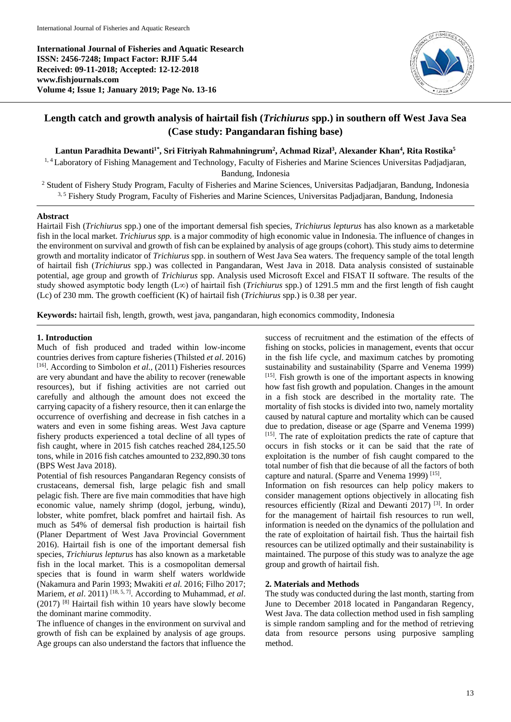**International Journal of Fisheries and Aquatic Research ISSN: 2456-7248; Impact Factor: RJIF 5.44 Received: 09-11-2018; Accepted: 12-12-2018 www.fishjournals.com Volume 4; Issue 1; January 2019; Page No. 13-16**



# **Length catch and growth analysis of hairtail fish (***Trichiurus* **spp.) in southern off West Java Sea (Case study: Pangandaran fishing base)**

### **Lantun Paradhita Dewanti1\*, Sri Fitriyah Rahmahningrum<sup>2</sup> , Achmad Rizal<sup>3</sup> , Alexander Khan<sup>4</sup> , Rita Rostika<sup>5</sup>**

<sup>1, 4</sup> Laboratory of Fishing Management and Technology, Faculty of Fisheries and Marine Sciences Universitas Padjadjaran,

Bandung, Indonesia

<sup>2</sup> Student of Fishery Study Program, Faculty of Fisheries and Marine Sciences, Universitas Padjadjaran, Bandung, Indonesia 3,5 Fishery Study Program, Faculty of Fisheries and Marine Sciences, Universitas Padjadjaran, Bandung, Indonesia

# **Abstract**

Hairtail Fish (*Trichiurus* spp.) one of the important demersal fish species, *Trichiurus lepturus* has also known as a marketable fish in the local market. *Trichiurus spp.* is a major commodity of high economic value in Indonesia. The influence of changes in the environment on survival and growth of fish can be explained by analysis of age groups (cohort). This study aims to determine growth and mortality indicator of *Trichiurus* spp. in southern of West Java Sea waters. The frequency sample of the total length of hairtail fish (*Trichiurus* spp.) was collected in Pangandaran, West Java in 2018. Data analysis consisted of sustainable potential, age group and growth of *Trichiurus* spp. Analysis used Microsoft Excel and FISAT II software. The results of the study showed asymptotic body length (L∞) of hairtail fish (*Trichiurus* spp.) of 1291.5 mm and the first length of fish caught (Lc) of 230 mm. The growth coefficient (K) of hairtail fish (*Trichiurus* spp.) is 0.38 per year.

**Keywords:** hairtail fish, length, growth, west java, pangandaran, high economics commodity, Indonesia

# **1. Introduction**

Much of fish produced and traded within low-income countries derives from capture fisheries (Thilsted *et al*. 2016) [16]. According to Simbolon *et al.,* (2011) Fisheries resources are very abundant and have the ability to recover (renewable resources), but if fishing activities are not carried out carefully and although the amount does not exceed the carrying capacity of a fishery resource, then it can enlarge the occurrence of overfishing and decrease in fish catches in a waters and even in some fishing areas. West Java capture fishery products experienced a total decline of all types of fish caught, where in 2015 fish catches reached 284,125.50 tons, while in 2016 fish catches amounted to 232,890.30 tons (BPS West Java 2018).

Potential of fish resources Pangandaran Regency consists of crustaceans, demersal fish, large pelagic fish and small pelagic fish. There are five main commodities that have high economic value, namely shrimp (dogol, jerbung, windu), lobster, white pomfret, black pomfret and hairtail fish. As much as 54% of demersal fish production is hairtail fish (Planer Department of West Java Provincial Government 2016). Hairtail fish is one of the important demersal fish species, *Trichiurus lepturus* has also known as a marketable fish in the local market. This is a cosmopolitan demersal species that is found in warm shelf waters worldwide (Nakamura and Parin 1993; Mwakiti *et al.* 2016; Filho 2017; Mariem, *et al.* 2011)<sup>[18, 5, 7]</sup>. According to Muhammad, *et al.* (2017) [8] Hairtail fish within 10 years have slowly become the dominant marine commodity.

The influence of changes in the environment on survival and growth of fish can be explained by analysis of age groups. Age groups can also understand the factors that influence the

success of recruitment and the estimation of the effects of fishing on stocks, policies in management, events that occur in the fish life cycle, and maximum catches by promoting sustainability and sustainability (Sparre and Venema 1999) [15]. Fish growth is one of the important aspects in knowing how fast fish growth and population. Changes in the amount in a fish stock are described in the mortality rate. The mortality of fish stocks is divided into two, namely mortality caused by natural capture and mortality which can be caused due to predation, disease or age (Sparre and Venema 1999) [15]. The rate of exploitation predicts the rate of capture that occurs in fish stocks or it can be said that the rate of exploitation is the number of fish caught compared to the total number of fish that die because of all the factors of both capture and natural. (Sparre and Venema 1999)<sup>[15]</sup>.

Information on fish resources can help policy makers to consider management options objectively in allocating fish resources efficiently (Rizal and Dewanti 2017) [3]. In order for the management of hairtail fish resources to run well, information is needed on the dynamics of the pollulation and the rate of exploitation of hairtail fish. Thus the hairtail fish resources can be utilized optimally and their sustainability is maintained. The purpose of this study was to analyze the age group and growth of hairtail fish.

### **2. Materials and Methods**

The study was conducted during the last month, starting from June to December 2018 located in Pangandaran Regency, West Java. The data collection method used in fish sampling is simple random sampling and for the method of retrieving data from resource persons using purposive sampling method.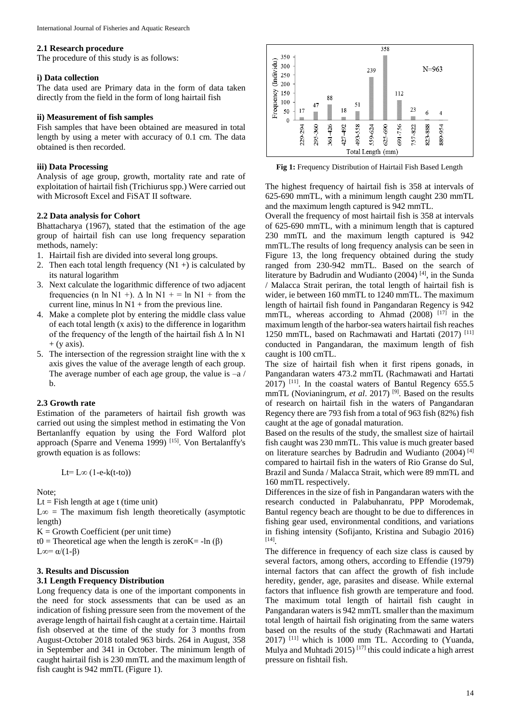#### **2.1 Research procedure**

The procedure of this study is as follows:

#### **i) Data collection**

The data used are Primary data in the form of data taken directly from the field in the form of long hairtail fish

#### **ii) Measurement of fish samples**

Fish samples that have been obtained are measured in total length by using a meter with accuracy of 0.1 cm. The data obtained is then recorded.

### **iii) Data Processing**

Analysis of age group, growth, mortality rate and rate of exploitation of hairtail fish (Trichiurus spp.) Were carried out with Microsoft Excel and FiSAT II software.

# **2.2 Data analysis for Cohort**

Bhattacharya (1967), stated that the estimation of the age group of hairtail fish can use long frequency separation methods, namely:

- 1. Hairtail fish are divided into several long groups.
- 2. Then each total length frequency  $(N1 +)$  is calculated by its natural logarithm
- 3. Next calculate the logarithmic difference of two adjacent frequencies (n ln N1 +).  $\Delta$  ln N1 + = ln N1 + from the current line, minus  $\ln N1$  + from the previous line.
- 4. Make a complete plot by entering the middle class value of each total length (x axis) to the difference in logarithm of the frequency of the length of the hairtail fish  $\Delta$  ln N1  $+$  (y axis).
- 5. The intersection of the regression straight line with the x axis gives the value of the average length of each group. The average number of each age group, the value is  $-a/$ b.

### **2.3 Growth rate**

Estimation of the parameters of hairtail fish growth was carried out using the simplest method in estimating the Von Bertanlanffy equation by using the Ford Walford plot approach (Sparre and Venema 1999)<sup>[15]</sup>. Von Bertalanffy's growth equation is as follows:

$$
Lt = L\infty (1-e-k(t-to))
$$

Note;

Lt = Fish length at age t (time unit)

L∞ = The maximum fish length theoretically (asymptotic length)

 $K = Growth Coefficient (per unit time)$ 

t0 = Theoretical age when the length is zeroK = -ln  $(\beta)$ L∞=  $\alpha$ /(1- $\beta$ )

### **3. Results and Discussion 3.1 Length Frequency Distribution**

Long frequency data is one of the important components in the need for stock assessments that can be used as an indication of fishing pressure seen from the movement of the average length of hairtail fish caught at a certain time. Hairtail fish observed at the time of the study for 3 months from August-October 2018 totaled 963 birds. 264 in August, 358 in September and 341 in October. The minimum length of caught hairtail fish is 230 mmTL and the maximum length of fish caught is 942 mmTL (Figure 1).



**Fig 1:** Frequency Distribution of Hairtail Fish Based Length

The highest frequency of hairtail fish is 358 at intervals of 625-690 mmTL, with a minimum length caught 230 mmTL and the maximum length captured is 942 mmTL.

Overall the frequency of most hairtail fish is 358 at intervals of 625-690 mmTL, with a minimum length that is captured 230 mmTL and the maximum length captured is 942 mmTL.The results of long frequency analysis can be seen in Figure 13, the long frequency obtained during the study ranged from 230-942 mmTL. Based on the search of literature by Badrudin and Wudianto (2004) [4], in the Sunda / Malacca Strait periran, the total length of hairtail fish is wider, ie between 160 mmTL to 1240 mmTL. The maximum length of hairtail fish found in Pangandaran Regency is 942 mmTL, whereas according to Ahmad  $(2008)$ <sup>[17]</sup> in the maximum length of the harbor-sea waters hairtail fish reaches 1250 mmTL, based on Rachmawati and Hartati  $(2017)$ <sup>[11]</sup> conducted in Pangandaran, the maximum length of fish caught is 100 cmTL.

The size of hairtail fish when it first ripens gonads, in Pangandaran waters 473.2 mmTL (Rachmawati and Hartati  $2017$ ) <sup>[11]</sup>. In the coastal waters of Bantul Regency 655.5 mmTL (Novianingrum, *et al.* 2017)<sup>[9]</sup>. Based on the results of research on hairtail fish in the waters of Pangandaran Regency there are 793 fish from a total of 963 fish (82%) fish caught at the age of gonadal maturation.

Based on the results of the study, the smallest size of hairtail fish caught was 230 mmTL. This value is much greater based on literature searches by Badrudin and Wudianto (2004) [4] compared to hairtail fish in the waters of Rio Granse do Sul, Brazil and Sunda / Malacca Strait, which were 89 mmTL and 160 mmTL respectively.

Differences in the size of fish in Pangandaran waters with the research conducted in Palabuhanratu, PPP Morodemak, Bantul regency beach are thought to be due to differences in fishing gear used, environmental conditions, and variations in fishing intensity (Sofijanto, Kristina and Subagio 2016) [14] .

The difference in frequency of each size class is caused by several factors, among others, according to Effendie (1979) internal factors that can affect the growth of fish include heredity, gender, age, parasites and disease. While external factors that influence fish growth are temperature and food. The maximum total length of hairtail fish caught in Pangandaran waters is 942 mmTL smaller than the maximum total length of hairtail fish originating from the same waters based on the results of the study (Rachmawati and Hartati  $2017$ ) <sup>[11]</sup> which is 1000 mm TL. According to (Yuanda, Mulya and Muhtadi 2015)<sup>[17]</sup> this could indicate a high arrest pressure on fishtail fish.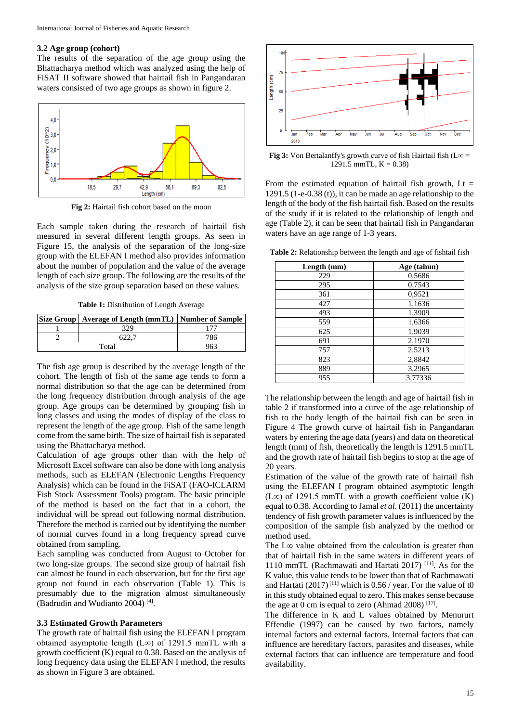#### **3.2 Age group (cohort)**

The results of the separation of the age group using the Bhattacharya method which was analyzed using the help of FiSAT II software showed that hairtail fish in Pangandaran waters consisted of two age groups as shown in figure 2.



**Fig 2:** Hairtail fish cohort based on the moon

Each sample taken during the research of hairtail fish measured in several different length groups. As seen in Figure 15, the analysis of the separation of the long-size group with the ELEFAN I method also provides information about the number of population and the value of the average length of each size group. The following are the results of the analysis of the size group separation based on these values.

**Table 1:** Distribution of Length Average

|       | Size Group   Average of Length (mmTL)   Number of Sample |     |
|-------|----------------------------------------------------------|-----|
|       | 329                                                      |     |
|       |                                                          | 786 |
| Total |                                                          | 963 |

The fish age group is described by the average length of the cohort. The length of fish of the same age tends to form a normal distribution so that the age can be determined from the long frequency distribution through analysis of the age group. Age groups can be determined by grouping fish in long classes and using the modes of display of the class to represent the length of the age group. Fish of the same length come from the same birth. The size of hairtail fish is separated using the Bhattacharya method.

Calculation of age groups other than with the help of Microsoft Excel software can also be done with long analysis methods, such as ELEFAN (Electronic Lengths Frequency Analysis) which can be found in the FiSAT (FAO-ICLARM Fish Stock Assessment Tools) program. The basic principle of the method is based on the fact that in a cohort, the individual will be spread out following normal distribution. Therefore the method is carried out by identifying the number of normal curves found in a long frequency spread curve obtained from sampling.

Each sampling was conducted from August to October for two long-size groups. The second size group of hairtail fish can almost be found in each observation, but for the first age group not found in each observation (Table 1). This is presumably due to the migration almost simultaneously (Badrudin and Wudianto 2004) [4] .

#### **3.3 Estimated Growth Parameters**

The growth rate of hairtail fish using the ELEFAN I program obtained asymptotic length (L∞) of 1291.5 mmTL with a growth coefficient (K) equal to 0.38. Based on the analysis of long frequency data using the ELEFAN I method, the results as shown in Figure 3 are obtained.



**Fig 3:** Von Bertalanffy's growth curve of fish Hairtail fish ( $L\infty$  = 1291.5 mmTL,  $K = 0.38$ )

From the estimated equation of hairtail fish growth,  $Lt =$ 1291.5 (1-e-0.38 (t)), it can be made an age relationship to the length of the body of the fish hairtail fish. Based on the results of the study if it is related to the relationship of length and age (Table 2), it can be seen that hairtail fish in Pangandaran waters have an age range of 1-3 years.

**Table 2:** Relationship between the length and age of fishtail fish

| Length (mm) | Age (tahun) |
|-------------|-------------|
| 229         | 0,5686      |
| 295         | 0,7543      |
| 361         | 0,9521      |
| 427         | 1,1636      |
| 493         | 1,3909      |
| 559         | 1,6366      |
| 625         | 1,9039      |
| 691         | 2,1970      |
| 757         | 2,5213      |
| 823         | 2,8842      |
| 889         | 3,2965      |
| 955         | 3,77336     |

The relationship between the length and age of hairtail fish in table 2 if transformed into a curve of the age relationship of fish to the body length of the hairtail fish can be seen in Figure 4 The growth curve of hairtail fish in Pangandaran waters by entering the age data (years) and data on theoretical length (mm) of fish, theoretically the length is 1291.5 mmTL and the growth rate of hairtail fish begins to stop at the age of 20 years.

Estimation of the value of the growth rate of hairtail fish using the ELEFAN I program obtained asymptotic length (L∞) of 1291.5 mmTL with a growth coefficient value (K) equal to 0.38. According to Jamal *et al*. (2011) the uncertainty tendency of fish growth parameter values is influenced by the composition of the sample fish analyzed by the method or method used.

The L∞ value obtained from the calculation is greater than that of hairtail fish in the same waters in different years of 1110 mmTL (Rachmawati and Hartati 2017) [11]. As for the K value, this value tends to be lower than that of Rachmawati and Hartati (2017)<sup>[11]</sup> which is 0.56 / year. For the value of t0 in this study obtained equal to zero. This makes sense because the age at 0 cm is equal to zero (Ahmad 2008)  $[17]$ .

The difference in K and L values obtained by Menururt Effendie (1997) can be caused by two factors, namely internal factors and external factors. Internal factors that can influence are hereditary factors, parasites and diseases, while external factors that can influence are temperature and food availability.